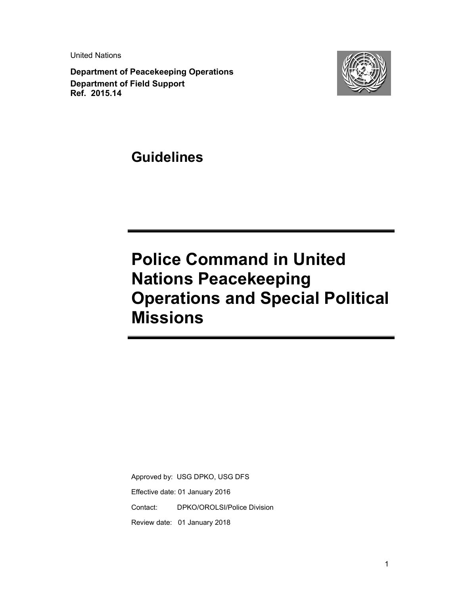United Nations

**Department of Peacekeeping Operations Department of Field Support Ref. 2015.14**



**Guidelines** 

# **Police Command in United Nations Peacekeeping Operations and Special Political Missions**

Approved by: USG DPKO, USG DFS Effective date: 01 January 2016 Contact: DPKO/OROLSI/Police Division Review date: 01 January 2018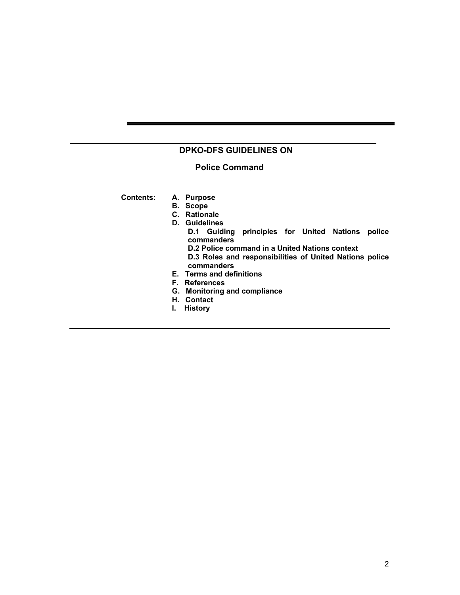# **DPKO-DFS GUIDELINES ON**

# **Police Command**

 **Contents: A. Purpose** 

- **B. Scope**
- **C. Rationale**
- **D. Guidelines** 
	- **D.1 Guiding principles for United Nations police commanders D.2 Police command in a United Nations context** 
		- **D.3 Roles and responsibilities of United Nations police commanders**
- **E. Terms and definitions**
- **F. References**
- **G. Monitoring and compliance**
- **H. Contact**
- **I. History**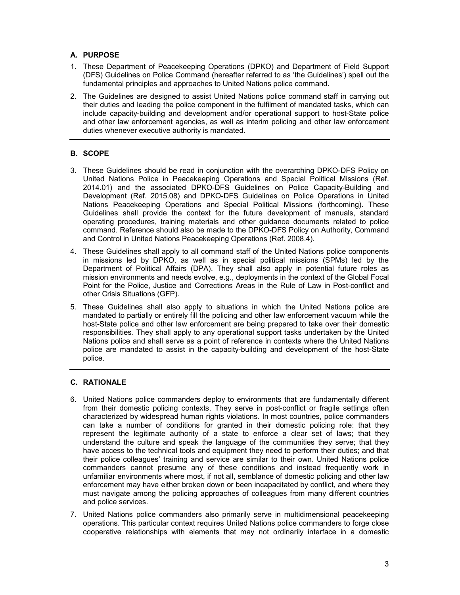# **A. PURPOSE**

- 1. These Department of Peacekeeping Operations (DPKO) and Department of Field Support (DFS) Guidelines on Police Command (hereafter referred to as 'the Guidelines') spell out the fundamental principles and approaches to United Nations police command.
- 2. The Guidelines are designed to assist United Nations police command staff in carrying out their duties and leading the police component in the fulfilment of mandated tasks, which can include capacity-building and development and/or operational support to host-State police and other law enforcement agencies, as well as interim policing and other law enforcement duties whenever executive authority is mandated.

# **B. SCOPE**

- 3. These Guidelines should be read in conjunction with the overarching DPKO-DFS Policy on United Nations Police in Peacekeeping Operations and Special Political Missions (Ref. 2014.01) and the associated DPKO-DFS Guidelines on Police Capacity-Building and Development (Ref. 2015.08) and DPKO-DFS Guidelines on Police Operations in United Nations Peacekeeping Operations and Special Political Missions (forthcoming). These Guidelines shall provide the context for the future development of manuals, standard operating procedures, training materials and other guidance documents related to police command. Reference should also be made to the DPKO-DFS Policy on Authority, Command and Control in United Nations Peacekeeping Operations (Ref. 2008.4).
- 4. These Guidelines shall apply to all command staff of the United Nations police components in missions led by DPKO, as well as in special political missions (SPMs) led by the Department of Political Affairs (DPA). They shall also apply in potential future roles as mission environments and needs evolve, e.g., deployments in the context of the Global Focal Point for the Police, Justice and Corrections Areas in the Rule of Law in Post-conflict and other Crisis Situations (GFP).
- 5. These Guidelines shall also apply to situations in which the United Nations police are mandated to partially or entirely fill the policing and other law enforcement vacuum while the host-State police and other law enforcement are being prepared to take over their domestic responsibilities. They shall apply to any operational support tasks undertaken by the United Nations police and shall serve as a point of reference in contexts where the United Nations police are mandated to assist in the capacity-building and development of the host-State police.

# **C. RATIONALE**

- 6. United Nations police commanders deploy to environments that are fundamentally different from their domestic policing contexts. They serve in post-conflict or fragile settings often characterized by widespread human rights violations. In most countries, police commanders can take a number of conditions for granted in their domestic policing role: that they represent the legitimate authority of a state to enforce a clear set of laws; that they understand the culture and speak the language of the communities they serve; that they have access to the technical tools and equipment they need to perform their duties; and that their police colleagues' training and service are similar to their own. United Nations police commanders cannot presume any of these conditions and instead frequently work in unfamiliar environments where most, if not all, semblance of domestic policing and other law enforcement may have either broken down or been incapacitated by conflict, and where they must navigate among the policing approaches of colleagues from many different countries and police services.
- 7. United Nations police commanders also primarily serve in multidimensional peacekeeping operations. This particular context requires United Nations police commanders to forge close cooperative relationships with elements that may not ordinarily interface in a domestic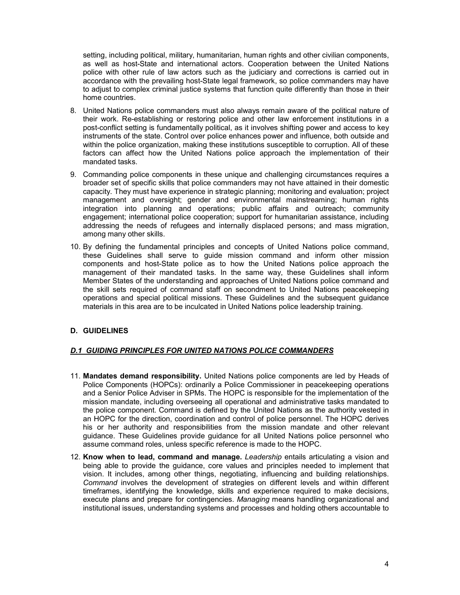setting, including political, military, humanitarian, human rights and other civilian components, as well as host-State and international actors. Cooperation between the United Nations police with other rule of law actors such as the judiciary and corrections is carried out in accordance with the prevailing host-State legal framework, so police commanders may have to adjust to complex criminal justice systems that function quite differently than those in their home countries.

- 8. United Nations police commanders must also always remain aware of the political nature of their work. Re-establishing or restoring police and other law enforcement institutions in a post-conflict setting is fundamentally political, as it involves shifting power and access to key instruments of the state. Control over police enhances power and influence, both outside and within the police organization, making these institutions susceptible to corruption. All of these factors can affect how the United Nations police approach the implementation of their mandated tasks.
- 9. Commanding police components in these unique and challenging circumstances requires a broader set of specific skills that police commanders may not have attained in their domestic capacity. They must have experience in strategic planning; monitoring and evaluation; project management and oversight; gender and environmental mainstreaming; human rights integration into planning and operations; public affairs and outreach; community engagement; international police cooperation; support for humanitarian assistance, including addressing the needs of refugees and internally displaced persons; and mass migration, among many other skills.
- 10. By defining the fundamental principles and concepts of United Nations police command, these Guidelines shall serve to guide mission command and inform other mission components and host-State police as to how the United Nations police approach the management of their mandated tasks. In the same way, these Guidelines shall inform Member States of the understanding and approaches of United Nations police command and the skill sets required of command staff on secondment to United Nations peacekeeping operations and special political missions. These Guidelines and the subsequent guidance materials in this area are to be inculcated in United Nations police leadership training.

# **D. GUIDELINES**

# *D.1 GUIDING PRINCIPLES FOR UNITED NATIONS POLICE COMMANDERS*

- 11. **Mandates demand responsibility.** United Nations police components are led by Heads of Police Components (HOPCs): ordinarily a Police Commissioner in peacekeeping operations and a Senior Police Adviser in SPMs. The HOPC is responsible for the implementation of the mission mandate, including overseeing all operational and administrative tasks mandated to the police component. Command is defined by the United Nations as the authority vested in an HOPC for the direction, coordination and control of police personnel. The HOPC derives his or her authority and responsibilities from the mission mandate and other relevant guidance. These Guidelines provide guidance for all United Nations police personnel who assume command roles, unless specific reference is made to the HOPC.
- 12. **Know when to lead, command and manage.** *Leadership* entails articulating a vision and being able to provide the guidance, core values and principles needed to implement that vision. It includes, among other things, negotiating, influencing and building relationships. *Command* involves the development of strategies on different levels and within different timeframes, identifying the knowledge, skills and experience required to make decisions, execute plans and prepare for contingencies. *Managing* means handling organizational and institutional issues, understanding systems and processes and holding others accountable to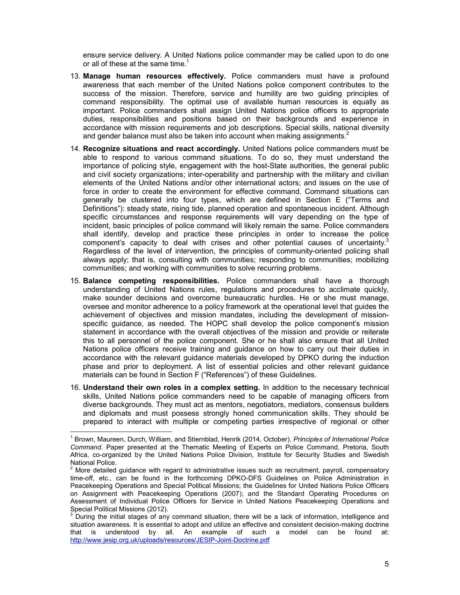ensure service delivery. A United Nations police commander may be called upon to do one or all of these at the same time.<sup>1</sup>

- 13. **Manage human resources effectively.** Police commanders must have a profound awareness that each member of the United Nations police component contributes to the success of the mission. Therefore, service and humility are two guiding principles of command responsibility. The optimal use of available human resources is equally as important. Police commanders shall assign United Nations police officers to appropriate duties, responsibilities and positions based on their backgrounds and experience in accordance with mission requirements and job descriptions. Special skills, national diversity and gender balance must also be taken into account when making assignments.<sup>2</sup>
- 14. **Recognize situations and react accordingly.** United Nations police commanders must be able to respond to various command situations. To do so, they must understand the importance of policing style, engagement with the host-State authorities, the general public and civil society organizations; inter-operability and partnership with the military and civilian elements of the United Nations and/or other international actors; and issues on the use of force in order to create the environment for effective command. Command situations can generally be clustered into four types, which are defined in Section E ("Terms and Definitions"): steady state, rising tide, planned operation and spontaneous incident. Although specific circumstances and response requirements will vary depending on the type of incident, basic principles of police command will likely remain the same. Police commanders shall identify, develop and practice these principles in order to increase the police component's capacity to deal with crises and other potential causes of uncertainty.<sup>3</sup> Regardless of the level of intervention, the principles of community-oriented policing shall always apply; that is, consulting with communities; responding to communities; mobilizing communities; and working with communities to solve recurring problems.
- 15. **Balance competing responsibilities.** Police commanders shall have a thorough understanding of United Nations rules, regulations and procedures to acclimate quickly, make sounder decisions and overcome bureaucratic hurdles. He or she must manage, oversee and monitor adherence to a policy framework at the operational level that guides the achievement of objectives and mission mandates, including the development of missionspecific guidance, as needed. The HOPC shall develop the police component's mission statement in accordance with the overall objectives of the mission and provide or reiterate this to all personnel of the police component. She or he shall also ensure that all United Nations police officers receive training and guidance on how to carry out their duties in accordance with the relevant guidance materials developed by DPKO during the induction phase and prior to deployment. A list of essential policies and other relevant guidance materials can be found in Section F ("References") of these Guidelines.
- 16. **Understand their own roles in a complex setting.** In addition to the necessary technical skills, United Nations police commanders need to be capable of managing officers from diverse backgrounds. They must act as mentors, negotiators, mediators, consensus builders and diplomats and must possess strongly honed communication skills. They should be prepared to interact with multiple or competing parties irrespective of regional or other

l,

<sup>1</sup> Brown, Maureen, Durch, William, and Stiernblad, Henrik (2014, October). *Principles of International Police Command*. Paper presented at the Thematic Meeting of Experts on Police Command, Pretoria, South Africa, co-organized by the United Nations Police Division, Institute for Security Studies and Swedish National Police.

 $2$  More detailed guidance with regard to administrative issues such as recruitment, payroll, compensatory time-off, etc., can be found in the forthcoming DPKO-DFS Guidelines on Police Administration in Peacekeeping Operations and Special Political Missions; the Guidelines for United Nations Police Officers on Assignment with Peacekeeping Operations (2007); and the Standard Operating Procedures on Assessment of Individual Police Officers for Service in United Nations Peacekeeping Operations and Special Political Missions (2012).

<sup>&</sup>lt;sup>3</sup> During the initial stages of any command situation, there will be a lack of information, intelligence and situation awareness. It is essential to adopt and utilize an effective and consistent decision-making doctrine that is understood by all. An example of such a model can be found at: http://www.jesip.org.uk/uploads/resources/JESIP-Joint-Doctrine.pdf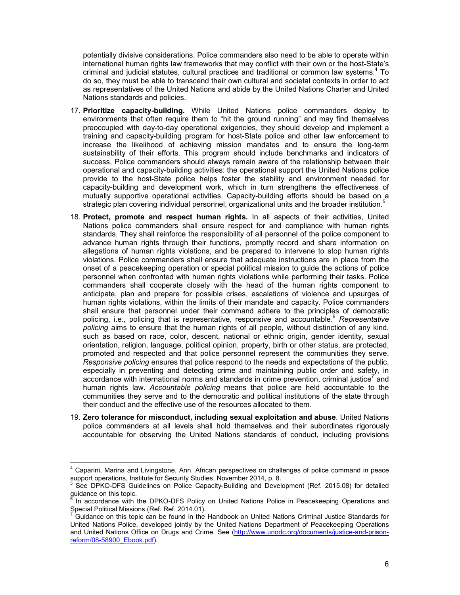potentially divisive considerations. Police commanders also need to be able to operate within international human rights law frameworks that may conflict with their own or the host-State's criminal and judicial statutes, cultural practices and traditional or common law systems.<sup>4</sup> To do so, they must be able to transcend their own cultural and societal contexts in order to act as representatives of the United Nations and abide by the United Nations Charter and United Nations standards and policies.

- 17. **Prioritize capacity-building.** While United Nations police commanders deploy to environments that often require them to "hit the ground running" and may find themselves preoccupied with day-to-day operational exigencies, they should develop and implement a training and capacity-building program for host-State police and other law enforcement to increase the likelihood of achieving mission mandates and to ensure the long-term sustainability of their efforts. This program should include benchmarks and indicators of success. Police commanders should always remain aware of the relationship between their operational and capacity-building activities: the operational support the United Nations police provide to the host-State police helps foster the stability and environment needed for capacity-building and development work, which in turn strengthens the effectiveness of mutually supportive operational activities. Capacity-building efforts should be based on a strategic plan covering individual personnel, organizational units and the broader institution.<sup>5</sup>
- 18. **Protect, promote and respect human rights.** In all aspects of their activities, United Nations police commanders shall ensure respect for and compliance with human rights standards. They shall reinforce the responsibility of all personnel of the police component to advance human rights through their functions, promptly record and share information on allegations of human rights violations, and be prepared to intervene to stop human rights violations. Police commanders shall ensure that adequate instructions are in place from the onset of a peacekeeping operation or special political mission to guide the actions of police personnel when confronted with human rights violations while performing their tasks. Police commanders shall cooperate closely with the head of the human rights component to anticipate, plan and prepare for possible crises, escalations of violence and upsurges of human rights violations, within the limits of their mandate and capacity. Police commanders shall ensure that personnel under their command adhere to the principles of democratic policing, i.e., policing that is representative, responsive and accountable.<sup>6</sup> *Representative policing* aims to ensure that the human rights of all people, without distinction of any kind, such as based on race, color, descent, national or ethnic origin, gender identity, sexual orientation, religion, language, political opinion, property, birth or other status, are protected, promoted and respected and that police personnel represent the communities they serve. *Responsive policing* ensures that police respond to the needs and expectations of the public, especially in preventing and detecting crime and maintaining public order and safety, in accordance with international norms and standards in crime prevention, criminal justice<sup>7</sup> and human rights law. *Accountable policing* means that police are held accountable to the communities they serve and to the democratic and political institutions of the state through their conduct and the effective use of the resources allocated to them.
- 19. **Zero tolerance for misconduct, including sexual exploitation and abuse**. United Nations police commanders at all levels shall hold themselves and their subordinates rigorously accountable for observing the United Nations standards of conduct, including provisions

<sup>4</sup> Caparini, Marina and Livingstone, Ann. African perspectives on challenges of police command in peace support operations, Institute for Security Studies, November 2014, p. 8.

<sup>5</sup> See DPKO-DFS Guidelines on Police Capacity-Building and Development (Ref. 2015.08) for detailed guidance on this topic.

<sup>6</sup> In accordance with the DPKO-DFS Policy on United Nations Police in Peacekeeping Operations and Special Political Missions (Ref. Ref. 2014.01).

<sup>7</sup> Guidance on this topic can be found in the Handbook on United Nations Criminal Justice Standards for United Nations Police, developed jointly by the United Nations Department of Peacekeeping Operations and United Nations Office on Drugs and Crime. See (http://www.unodc.org/documents/justice-and-prisonreform/08-58900\_Ebook.pdf).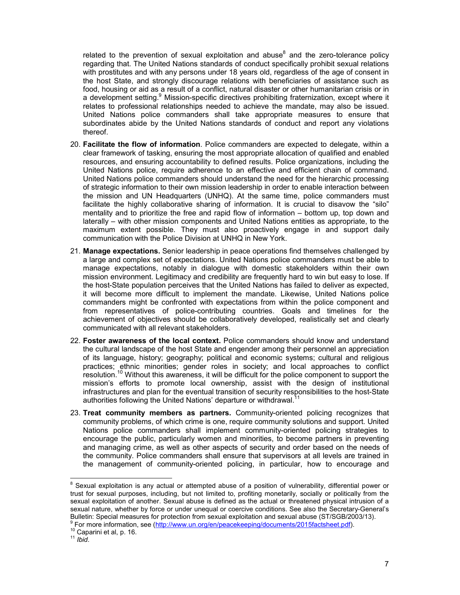related to the prevention of sexual exploitation and abuse $^8$  and the zero-tolerance policy regarding that. The United Nations standards of conduct specifically prohibit sexual relations with prostitutes and with any persons under 18 years old, regardless of the age of consent in the host State, and strongly discourage relations with beneficiaries of assistance such as food, housing or aid as a result of a conflict, natural disaster or other humanitarian crisis or in a development setting.<sup>9</sup> Mission-specific directives prohibiting fraternization, except where it relates to professional relationships needed to achieve the mandate, may also be issued. United Nations police commanders shall take appropriate measures to ensure that subordinates abide by the United Nations standards of conduct and report any violations thereof.

- 20. **Facilitate the flow of information**. Police commanders are expected to delegate, within a clear framework of tasking, ensuring the most appropriate allocation of qualified and enabled resources, and ensuring accountability to defined results. Police organizations, including the United Nations police, require adherence to an effective and efficient chain of command. United Nations police commanders should understand the need for the hierarchic processing of strategic information to their own mission leadership in order to enable interaction between the mission and UN Headquarters (UNHQ). At the same time, police commanders must facilitate the highly collaborative sharing of information. It is crucial to disavow the "silo" mentality and to prioritize the free and rapid flow of information – bottom up, top down and laterally – with other mission components and United Nations entities as appropriate, to the maximum extent possible. They must also proactively engage in and support daily communication with the Police Division at UNHQ in New York.
- 21. **Manage expectations.** Senior leadership in peace operations find themselves challenged by a large and complex set of expectations. United Nations police commanders must be able to manage expectations, notably in dialogue with domestic stakeholders within their own mission environment. Legitimacy and credibility are frequently hard to win but easy to lose. If the host-State population perceives that the United Nations has failed to deliver as expected, it will become more difficult to implement the mandate. Likewise, United Nations police commanders might be confronted with expectations from within the police component and from representatives of police-contributing countries. Goals and timelines for the achievement of objectives should be collaboratively developed, realistically set and clearly communicated with all relevant stakeholders.
- 22. **Foster awareness of the local context.** Police commanders should know and understand the cultural landscape of the host State and engender among their personnel an appreciation of its language, history; geography; political and economic systems; cultural and religious practices; ethnic minorities; gender roles in society; and local approaches to conflict resolution.<sup>10</sup> Without this awareness, it will be difficult for the police component to support the mission's efforts to promote local ownership, assist with the design of institutional infrastructures and plan for the eventual transition of security responsibilities to the host-State authorities following the United Nations' departure or withdrawal.<sup>11</sup>
- 23. **Treat community members as partners.** Community-oriented policing recognizes that community problems, of which crime is one, require community solutions and support. United Nations police commanders shall implement community-oriented policing strategies to encourage the public, particularly women and minorities, to become partners in preventing and managing crime, as well as other aspects of security and order based on the needs of the community. Police commanders shall ensure that supervisors at all levels are trained in the management of community-oriented policing, in particular, how to encourage and

<sup>&</sup>lt;sup>8</sup> Sexual exploitation is any actual or attempted abuse of a position of vulnerability, differential power or trust for sexual purposes, including, but not limited to, profiting monetarily, socially or politically from the sexual exploitation of another. Sexual abuse is defined as the actual or threatened physical intrusion of a sexual nature, whether by force or under unequal or coercive conditions. See also the Secretary-General's Bulletin: Special measures for protection from sexual exploitation and sexual abuse (ST/SGB/2003/13).

<sup>&</sup>lt;sup>9</sup> For more information, see (http://www.un.org/en/peacekeeping/documents/2015factsheet.pdf).

<sup>&</sup>lt;sup>10</sup> Caparini et al, p. 16.

<sup>11</sup> *Ibid*.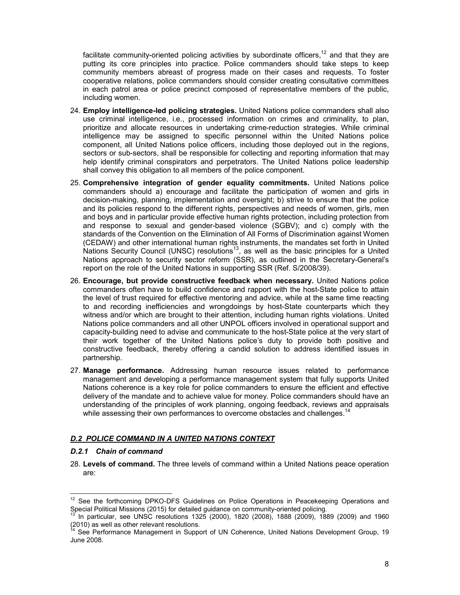facilitate community-oriented policing activities by subordinate officers,  $12$  and that they are putting its core principles into practice. Police commanders should take steps to keep community members abreast of progress made on their cases and requests. To foster cooperative relations, police commanders should consider creating consultative committees in each patrol area or police precinct composed of representative members of the public, including women.

- 24. **Employ intelligence-led policing strategies.** United Nations police commanders shall also use criminal intelligence, i.e., processed information on crimes and criminality, to plan, prioritize and allocate resources in undertaking crime-reduction strategies. While criminal intelligence may be assigned to specific personnel within the United Nations police component, all United Nations police officers, including those deployed out in the regions, sectors or sub-sectors, shall be responsible for collecting and reporting information that may help identify criminal conspirators and perpetrators. The United Nations police leadership shall convey this obligation to all members of the police component.
- 25. **Comprehensive integration of gender equality commitments.** United Nations police commanders should a) encourage and facilitate the participation of women and girls in decision-making, planning, implementation and oversight; b) strive to ensure that the police and its policies respond to the different rights, perspectives and needs of women, girls, men and boys and in particular provide effective human rights protection, including protection from and response to sexual and gender-based violence (SGBV); and c) comply with the standards of the Convention on the Elimination of All Forms of Discrimination against Women (CEDAW) and other international human rights instruments, the mandates set forth in United Nations Security Council (UNSC) resolutions<sup>13</sup>, as well as the basic principles for a United Nations approach to security sector reform (SSR), as outlined in the Secretary-General's report on the role of the United Nations in supporting SSR (Ref. S/2008/39).
- 26. **Encourage, but provide constructive feedback when necessary.** United Nations police commanders often have to build confidence and rapport with the host-State police to attain the level of trust required for effective mentoring and advice, while at the same time reacting to and recording inefficiencies and wrongdoings by host-State counterparts which they witness and/or which are brought to their attention, including human rights violations. United Nations police commanders and all other UNPOL officers involved in operational support and capacity-building need to advise and communicate to the host-State police at the very start of their work together of the United Nations police's duty to provide both positive and constructive feedback, thereby offering a candid solution to address identified issues in partnership.
- 27. **Manage performance.** Addressing human resource issues related to performance management and developing a performance management system that fully supports United Nations coherence is a key role for police commanders to ensure the efficient and effective delivery of the mandate and to achieve value for money. Police commanders should have an understanding of the principles of work planning, ongoing feedback, reviews and appraisals while assessing their own performances to overcome obstacles and challenges.<sup>14</sup>

#### *D.2 POLICE COMMAND IN A UNITED NATIONS CONTEXT*

#### *D.2.1 Chain of command*

l,

28. **Levels of command.** The three levels of command within a United Nations peace operation are:

See the forthcoming DPKO-DFS Guidelines on Police Operations in Peacekeeping Operations and Special Political Missions (2015) for detailed guidance on community-oriented policing.

<sup>13</sup> In particular, see UNSC resolutions 1325 (2000), 1820 (2008), 1888 (2009), 1889 (2009) and 1960 (2010) as well as other relevant resolutions.

See Performance Management in Support of UN Coherence, United Nations Development Group, 19 June 2008.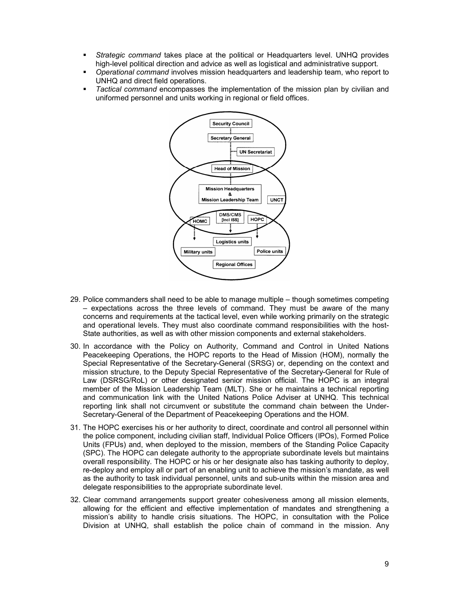- *Strategic command* takes place at the political or Headquarters level. UNHQ provides high-level political direction and advice as well as logistical and administrative support.
- *Operational command* involves mission headquarters and leadership team, who report to UNHQ and direct field operations.
- *Tactical command* encompasses the implementation of the mission plan by civilian and uniformed personnel and units working in regional or field offices.



- 29. Police commanders shall need to be able to manage multiple though sometimes competing – expectations across the three levels of command. They must be aware of the many concerns and requirements at the tactical level, even while working primarily on the strategic and operational levels. They must also coordinate command responsibilities with the host-State authorities, as well as with other mission components and external stakeholders.
- 30. In accordance with the Policy on Authority, Command and Control in United Nations Peacekeeping Operations, the HOPC reports to the Head of Mission (HOM), normally the Special Representative of the Secretary-General (SRSG) or, depending on the context and mission structure, to the Deputy Special Representative of the Secretary-General for Rule of Law (DSRSG/RoL) or other designated senior mission official. The HOPC is an integral member of the Mission Leadership Team (MLT). She or he maintains a technical reporting and communication link with the United Nations Police Adviser at UNHQ. This technical reporting link shall not circumvent or substitute the command chain between the Under-Secretary-General of the Department of Peacekeeping Operations and the HOM.
- 31. The HOPC exercises his or her authority to direct, coordinate and control all personnel within the police component, including civilian staff, Individual Police Officers (IPOs), Formed Police Units (FPUs) and, when deployed to the mission, members of the Standing Police Capacity (SPC). The HOPC can delegate authority to the appropriate subordinate levels but maintains overall responsibility. The HOPC or his or her designate also has tasking authority to deploy, re-deploy and employ all or part of an enabling unit to achieve the mission's mandate, as well as the authority to task individual personnel, units and sub-units within the mission area and delegate responsibilities to the appropriate subordinate level.
- 32. Clear command arrangements support greater cohesiveness among all mission elements, allowing for the efficient and effective implementation of mandates and strengthening a mission's ability to handle crisis situations. The HOPC, in consultation with the Police Division at UNHQ, shall establish the police chain of command in the mission. Any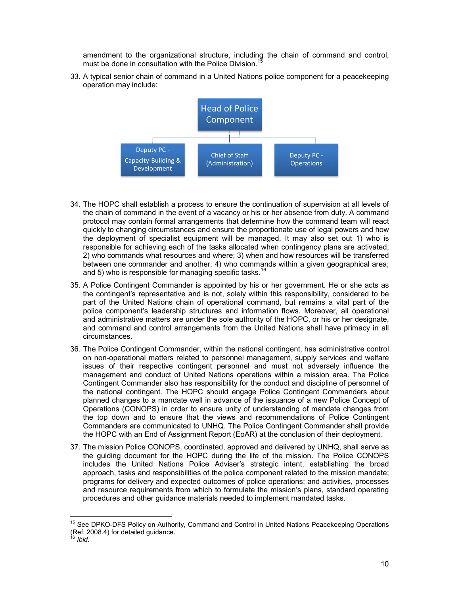amendment to the organizational structure, including the chain of command and control, must be done in consultation with the Police Division.

33. A typical senior chain of command in a United Nations police component for a peacekeeping operation may include:



- 34. The HOPC shall establish a process to ensure the continuation of supervision at all levels of the chain of command in the event of a vacancy or his or her absence from duty. A command protocol may contain formal arrangements that determine how the command team will react quickly to changing circumstances and ensure the proportionate use of legal powers and how the deployment of specialist equipment will be managed. It may also set out 1) who is responsible for achieving each of the tasks allocated when contingency plans are activated; 2) who commands what resources and where; 3) when and how resources will be transferred between one commander and another; 4) who commands within a given geographical area; and 5) who is responsible for managing specific tasks.<sup>16</sup>
- 35. A Police Contingent Commander is appointed by his or her government. He or she acts as the contingent's representative and is not, solely within this responsibility, considered to be part of the United Nations chain of operational command, but remains a vital part of the police component's leadership structures and information flows. Moreover, all operational and administrative matters are under the sole authority of the HOPC, or his or her designate, and command and control arrangements from the United Nations shall have primacy in all circumstances.
- 36. The Police Contingent Commander, within the national contingent, has administrative control on non-operational matters related to personnel management, supply services and welfare issues of their respective contingent personnel and must not adversely influence the management and conduct of United Nations operations within a mission area. The Police Contingent Commander also has responsibility for the conduct and discipline of personnel of the national contingent. The HOPC should engage Police Contingent Commanders about planned changes to a mandate well in advance of the issuance of a new Police Concept of Operations (CONOPS) in order to ensure unity of understanding of mandate changes from the top down and to ensure that the views and recommendations of Police Contingent Commanders are communicated to UNHQ. The Police Contingent Commander shall provide the HOPC with an End of Assignment Report (EoAR) at the conclusion of their deployment.
- 37. The mission Police CONOPS, coordinated, approved and delivered by UNHQ, shall serve as the guiding document for the HOPC during the life of the mission. The Police CONOPS includes the United Nations Police Adviser's strategic intent, establishing the broad approach, tasks and responsibilities of the police component related to the mission mandate; programs for delivery and expected outcomes of police operations; and activities, processes and resource requirements from which to formulate the mission's plans, standard operating procedures and other guidance materials needed to implement mandated tasks.

<sup>&</sup>lt;sup>15</sup> See DPKO-DFS Policy on Authority, Command and Control in United Nations Peacekeeping Operations Ref. 2008.4) for detailed guidance.

<sup>16</sup> *Ibid*.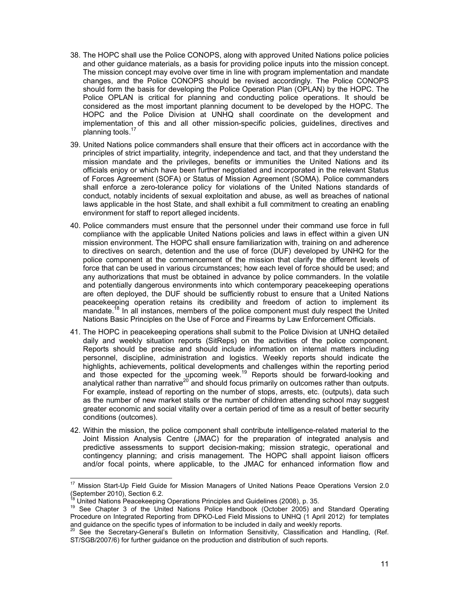- 38. The HOPC shall use the Police CONOPS, along with approved United Nations police policies and other guidance materials, as a basis for providing police inputs into the mission concept. The mission concept may evolve over time in line with program implementation and mandate changes, and the Police CONOPS should be revised accordingly. The Police CONOPS should form the basis for developing the Police Operation Plan (OPLAN) by the HOPC. The Police OPLAN is critical for planning and conducting police operations. It should be considered as the most important planning document to be developed by the HOPC. The HOPC and the Police Division at UNHQ shall coordinate on the development and implementation of this and all other mission-specific policies, guidelines, directives and planning tools. $<sup>1</sup>$ </sup>
- 39. United Nations police commanders shall ensure that their officers act in accordance with the principles of strict impartiality, integrity, independence and tact, and that they understand the mission mandate and the privileges, benefits or immunities the United Nations and its officials enjoy or which have been further negotiated and incorporated in the relevant Status of Forces Agreement (SOFA) or Status of Mission Agreement (SOMA). Police commanders shall enforce a zero-tolerance policy for violations of the United Nations standards of conduct, notably incidents of sexual exploitation and abuse, as well as breaches of national laws applicable in the host State, and shall exhibit a full commitment to creating an enabling environment for staff to report alleged incidents.
- 40. Police commanders must ensure that the personnel under their command use force in full compliance with the applicable United Nations policies and laws in effect within a given UN mission environment. The HOPC shall ensure familiarization with, training on and adherence to directives on search, detention and the use of force (DUF) developed by UNHQ for the police component at the commencement of the mission that clarify the different levels of force that can be used in various circumstances; how each level of force should be used; and any authorizations that must be obtained in advance by police commanders. In the volatile and potentially dangerous environments into which contemporary peacekeeping operations are often deployed, the DUF should be sufficiently robust to ensure that a United Nations peacekeeping operation retains its credibility and freedom of action to implement its mandate.<sup>18</sup> In all instances, members of the police component must duly respect the United Nations Basic Principles on the Use of Force and Firearms by Law Enforcement Officials.
- 41. The HOPC in peacekeeping operations shall submit to the Police Division at UNHQ detailed daily and weekly situation reports (SitReps) on the activities of the police component. Reports should be precise and should include information on internal matters including personnel, discipline, administration and logistics. Weekly reports should indicate the highlights, achievements, political developments and challenges within the reporting period and those expected for the upcoming week.<sup>19</sup> Reports should be forward-looking and analytical rather than narrative<sup>20</sup> and should focus primarily on outcomes rather than outputs. For example, instead of reporting on the number of stops, arrests, etc. (outputs), data such as the number of new market stalls or the number of children attending school may suggest greater economic and social vitality over a certain period of time as a result of better security conditions (outcomes).
- 42. Within the mission, the police component shall contribute intelligence-related material to the Joint Mission Analysis Centre (JMAC) for the preparation of integrated analysis and predictive assessments to support decision-making; mission strategic, operational and contingency planning; and crisis management. The HOPC shall appoint liaison officers and/or focal points, where applicable, to the JMAC for enhanced information flow and

<sup>17</sup> Mission Start-Up Field Guide for Mission Managers of United Nations Peace Operations Version 2.0 (September 2010), Section 6.2.

United Nations Peacekeeping Operations Principles and Guidelines (2008), p. 35.

<sup>19</sup> See Chapter 3 of the United Nations Police Handbook (October 2005) and Standard Operating Procedure on Integrated Reporting from DPKO-Led Field Missions to UNHQ (1 April 2012) for templates and guidance on the specific types of information to be included in daily and weekly reports.

 $^{20}$  See the Secretary-General's Bulletin on Information Sensitivity, Classification and Handling, (Ref. ST/SGB/2007/6) for further guidance on the production and distribution of such reports.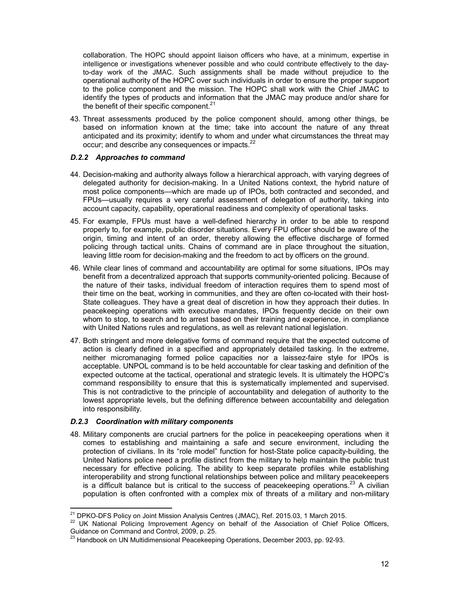collaboration. The HOPC should appoint liaison officers who have, at a minimum, expertise in intelligence or investigations whenever possible and who could contribute effectively to the dayto-day work of the JMAC. Such assignments shall be made without prejudice to the operational authority of the HOPC over such individuals in order to ensure the proper support to the police component and the mission. The HOPC shall work with the Chief JMAC to identify the types of products and information that the JMAC may produce and/or share for the benefit of their specific component. $21$ 

43. Threat assessments produced by the police component should, among other things, be based on information known at the time; take into account the nature of any threat anticipated and its proximity; identify to whom and under what circumstances the threat may occur; and describe any consequences or impacts.<sup>22</sup>

# *D.2.2 Approaches to command*

- 44. Decision-making and authority always follow a hierarchical approach, with varying degrees of delegated authority for decision-making. In a United Nations context, the hybrid nature of most police components—which are made up of IPOs, both contracted and seconded, and FPUs—usually requires a very careful assessment of delegation of authority, taking into account capacity, capability, operational readiness and complexity of operational tasks.
- 45. For example, FPUs must have a well-defined hierarchy in order to be able to respond properly to, for example, public disorder situations. Every FPU officer should be aware of the origin, timing and intent of an order, thereby allowing the effective discharge of formed policing through tactical units. Chains of command are in place throughout the situation, leaving little room for decision-making and the freedom to act by officers on the ground.
- 46. While clear lines of command and accountability are optimal for some situations, IPOs may benefit from a decentralized approach that supports community-oriented policing. Because of the nature of their tasks, individual freedom of interaction requires them to spend most of their time on the beat, working in communities, and they are often co-located with their host-State colleagues. They have a great deal of discretion in how they approach their duties. In peacekeeping operations with executive mandates, IPOs frequently decide on their own whom to stop, to search and to arrest based on their training and experience, in compliance with United Nations rules and regulations, as well as relevant national legislation.
- 47. Both stringent and more delegative forms of command require that the expected outcome of action is clearly defined in a specified and appropriately detailed tasking. In the extreme, neither micromanaging formed police capacities nor a laissez-faire style for IPOs is acceptable. UNPOL command is to be held accountable for clear tasking and definition of the expected outcome at the tactical, operational and strategic levels. It is ultimately the HOPC's command responsibility to ensure that this is systematically implemented and supervised. This is not contradictive to the principle of accountability and delegation of authority to the lowest appropriate levels, but the defining difference between accountability and delegation into responsibility.

#### *D.2.3 Coordination with military components*

l,

48. Military components are crucial partners for the police in peacekeeping operations when it comes to establishing and maintaining a safe and secure environment, including the protection of civilians. In its "role model" function for host-State police capacity-building, the United Nations police need a profile distinct from the military to help maintain the public trust necessary for effective policing. The ability to keep separate profiles while establishing interoperability and strong functional relationships between police and military peacekeepers is a difficult balance but is critical to the success of peacekeeping operations.<sup>23</sup> A civilian population is often confronted with a complex mix of threats of a military and non-military

<sup>&</sup>lt;sup>21</sup> DPKO-DFS Policy on Joint Mission Analysis Centres (JMAC), Ref. 2015.03, 1 March 2015.

<sup>&</sup>lt;sup>22</sup> UK National Policing Improvement Agency on behalf of the Association of Chief Police Officers, Guidance on Command and Control, 2009, p. 25.

<sup>&</sup>lt;sup>23</sup> Handbook on UN Multidimensional Peacekeeping Operations, December 2003, pp. 92-93.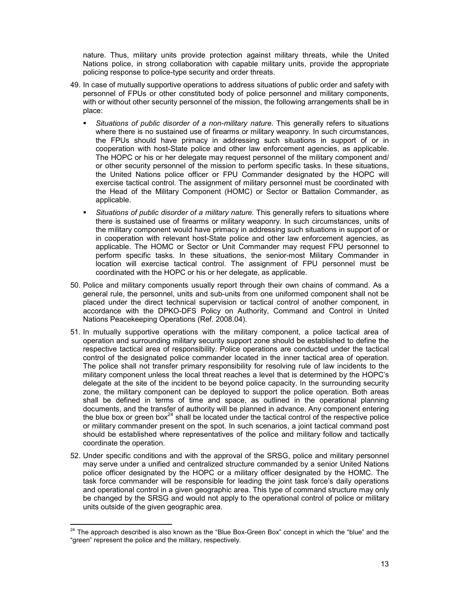nature. Thus, military units provide protection against military threats, while the United Nations police, in strong collaboration with capable military units, provide the appropriate policing response to police-type security and order threats.

- 49. In case of mutually supportive operations to address situations of public order and safety with personnel of FPUs or other constituted body of police personnel and military components, with or without other security personnel of the mission, the following arrangements shall be in place:
	- *Situations of public disorder of a non-military nature.* This generally refers to situations where there is no sustained use of firearms or military weaponry. In such circumstances, the FPUs should have primacy in addressing such situations in support of or in cooperation with host-State police and other law enforcement agencies, as applicable. The HOPC or his or her delegate may request personnel of the military component and/ or other security personnel of the mission to perform specific tasks. In these situations, the United Nations police officer or FPU Commander designated by the HOPC will exercise tactical control. The assignment of military personnel must be coordinated with the Head of the Military Component (HOMC) or Sector or Battalion Commander, as applicable.
	- *Situations of public disorder of a military nature.* This generally refers to situations where there is sustained use of firearms or military weaponry. In such circumstances, units of the military component would have primacy in addressing such situations in support of or in cooperation with relevant host-State police and other law enforcement agencies, as applicable. The HOMC or Sector or Unit Commander may request FPU personnel to perform specific tasks. In these situations, the senior-most Military Commander in location will exercise tactical control. The assignment of FPU personnel must be coordinated with the HOPC or his or her delegate, as applicable.
- 50. Police and military components usually report through their own chains of command. As a general rule, the personnel, units and sub-units from one uniformed component shall not be placed under the direct technical supervision or tactical control of another component, in accordance with the DPKO-DFS Policy on Authority, Command and Control in United Nations Peacekeeping Operations (Ref. 2008.04).
- 51. In mutually supportive operations with the military component, a police tactical area of operation and surrounding military security support zone should be established to define the respective tactical area of responsibility. Police operations are conducted under the tactical control of the designated police commander located in the inner tactical area of operation. The police shall not transfer primary responsibility for resolving rule of law incidents to the military component unless the local threat reaches a level that is determined by the HOPC's delegate at the site of the incident to be beyond police capacity. In the surrounding security zone, the military component can be deployed to support the police operation. Both areas shall be defined in terms of time and space, as outlined in the operational planning documents, and the transfer of authority will be planned in advance. Any component entering the blue box or green box $^{24}$  shall be located under the tactical control of the respective police or military commander present on the spot. In such scenarios, a joint tactical command post should be established where representatives of the police and military follow and tactically coordinate the operation.
- 52. Under specific conditions and with the approval of the SRSG, police and military personnel may serve under a unified and centralized structure commanded by a senior United Nations police officer designated by the HOPC or a military officer designated by the HOMC. The task force commander will be responsible for leading the joint task force's daily operations and operational control in a given geographic area. This type of command structure may only be changed by the SRSG and would not apply to the operational control of police or military units outside of the given geographic area.

 $\overline{a}$ 

 $^{24}$  The approach described is also known as the "Blue Box-Green Box" concept in which the "blue" and the "green" represent the police and the military, respectively.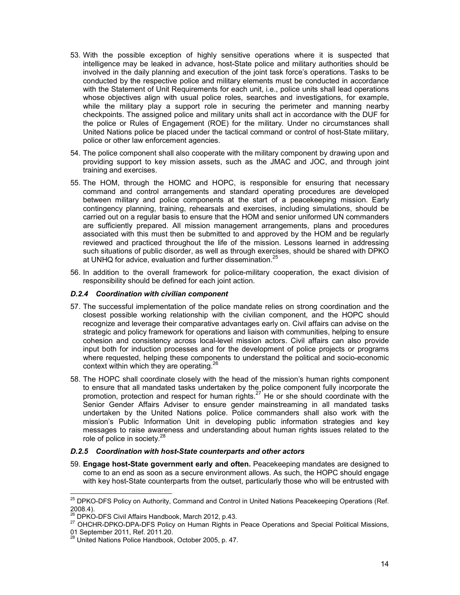- 53. With the possible exception of highly sensitive operations where it is suspected that intelligence may be leaked in advance, host-State police and military authorities should be involved in the daily planning and execution of the joint task force's operations. Tasks to be conducted by the respective police and military elements must be conducted in accordance with the Statement of Unit Requirements for each unit, i.e., police units shall lead operations whose objectives align with usual police roles, searches and investigations, for example, while the military play a support role in securing the perimeter and manning nearby checkpoints. The assigned police and military units shall act in accordance with the DUF for the police or Rules of Engagement (ROE) for the military. Under no circumstances shall United Nations police be placed under the tactical command or control of host-State military, police or other law enforcement agencies.
- 54. The police component shall also cooperate with the military component by drawing upon and providing support to key mission assets, such as the JMAC and JOC, and through joint training and exercises.
- 55. The HOM, through the HOMC and HOPC, is responsible for ensuring that necessary command and control arrangements and standard operating procedures are developed between military and police components at the start of a peacekeeping mission. Early contingency planning, training, rehearsals and exercises, including simulations, should be carried out on a regular basis to ensure that the HOM and senior uniformed UN commanders are sufficiently prepared. All mission management arrangements, plans and procedures associated with this must then be submitted to and approved by the HOM and be regularly reviewed and practiced throughout the life of the mission. Lessons learned in addressing such situations of public disorder, as well as through exercises, should be shared with DPKO at UNHQ for advice, evaluation and further dissemination.<sup>25</sup>
- 56. In addition to the overall framework for police-military cooperation, the exact division of responsibility should be defined for each joint action.

## *D.2.4 Coordination with civilian component*

- 57. The successful implementation of the police mandate relies on strong coordination and the closest possible working relationship with the civilian component, and the HOPC should recognize and leverage their comparative advantages early on. Civil affairs can advise on the strategic and policy framework for operations and liaison with communities, helping to ensure cohesion and consistency across local-level mission actors. Civil affairs can also provide input both for induction processes and for the development of police projects or programs where requested, helping these components to understand the political and socio-economic context within which they are operating.<sup>26</sup>
- 58. The HOPC shall coordinate closely with the head of the mission's human rights component to ensure that all mandated tasks undertaken by the police component fully incorporate the promotion, protection and respect for human rights.<sup>27</sup> He or she should coordinate with the Senior Gender Affairs Adviser to ensure gender mainstreaming in all mandated tasks undertaken by the United Nations police. Police commanders shall also work with the mission's Public Information Unit in developing public information strategies and key messages to raise awareness and understanding about human rights issues related to the role of police in society.<sup>28</sup>

#### *D.2.5 Coordination with host-State counterparts and other actors*

59. **Engage host-State government early and often.** Peacekeeping mandates are designed to come to an end as soon as a secure environment allows. As such, the HOPC should engage with key host-State counterparts from the outset, particularly those who will be entrusted with

l,

<sup>&</sup>lt;sup>25</sup> DPKO-DFS Policy on Authority, Command and Control in United Nations Peacekeeping Operations (Ref. 2008.4).

<sup>&</sup>lt;sup>26</sup> DPKO-DFS Civil Affairs Handbook, March 2012, p.43.

<sup>&</sup>lt;sup>27</sup> OHCHR-DPKO-DPA-DFS Policy on Human Rights in Peace Operations and Special Political Missions, 01 September 2011, Ref. 2011.20.

<sup>&</sup>lt;sup>28</sup> United Nations Police Handbook, October 2005, p. 47.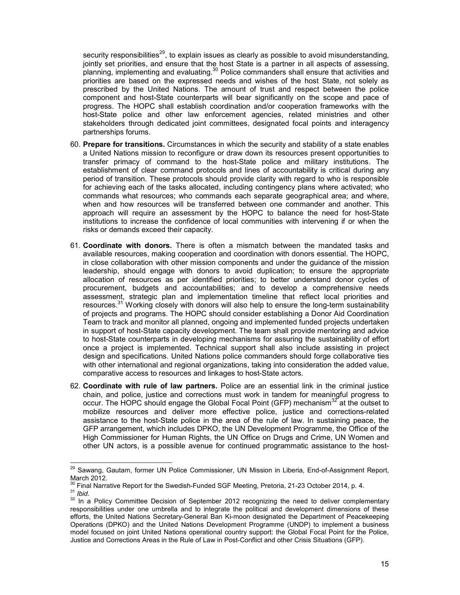security responsibilities<sup>29</sup>, to explain issues as clearly as possible to avoid misunderstanding, jointly set priorities, and ensure that the host State is a partner in all aspects of assessing, planning, implementing and evaluating.<sup>30</sup> Police commanders shall ensure that activities and priorities are based on the expressed needs and wishes of the host State, not solely as prescribed by the United Nations. The amount of trust and respect between the police component and host-State counterparts will bear significantly on the scope and pace of progress. The HOPC shall establish coordination and/or cooperation frameworks with the host-State police and other law enforcement agencies, related ministries and other stakeholders through dedicated joint committees, designated focal points and interagency partnerships forums.

- 60. **Prepare for transitions.** Circumstances in which the security and stability of a state enables a United Nations mission to reconfigure or draw down its resources present opportunities to transfer primacy of command to the host-State police and military institutions. The establishment of clear command protocols and lines of accountability is critical during any period of transition. These protocols should provide clarity with regard to who is responsible for achieving each of the tasks allocated, including contingency plans where activated; who commands what resources; who commands each separate geographical area; and where, when and how resources will be transferred between one commander and another. This approach will require an assessment by the HOPC to balance the need for host-State institutions to increase the confidence of local communities with intervening if or when the risks or demands exceed their capacity.
- 61. **Coordinate with donors.** There is often a mismatch between the mandated tasks and available resources, making cooperation and coordination with donors essential. The HOPC, in close collaboration with other mission components and under the guidance of the mission leadership, should engage with donors to avoid duplication; to ensure the appropriate allocation of resources as per identified priorities; to better understand donor cycles of procurement, budgets and accountabilities; and to develop a comprehensive needs assessment, strategic plan and implementation timeline that reflect local priorities and resources.<sup>31</sup> Working closely with donors will also help to ensure the long-term sustainability of projects and programs. The HOPC should consider establishing a Donor Aid Coordination Team to track and monitor all planned, ongoing and implemented funded projects undertaken in support of host-State capacity development. The team shall provide mentoring and advice to host-State counterparts in developing mechanisms for assuring the sustainability of effort once a project is implemented. Technical support shall also include assisting in project design and specifications. United Nations police commanders should forge collaborative ties with other international and regional organizations, taking into consideration the added value, comparative access to resources and linkages to host-State actors.
- 62. **Coordinate with rule of law partners.** Police are an essential link in the criminal justice chain, and police, justice and corrections must work in tandem for meaningful progress to occur. The HOPC should engage the Global Focal Point (GFP) mechanism<sup>32</sup> at the outset to mobilize resources and deliver more effective police, justice and corrections-related assistance to the host-State police in the area of the rule of law. In sustaining peace, the GFP arrangement, which includes DPKO, the UN Development Programme, the Office of the High Commissioner for Human Rights, the UN Office on Drugs and Crime, UN Women and other UN actors, is a possible avenue for continued programmatic assistance to the host-

<sup>&</sup>lt;sup>29</sup> Sawang, Gautam, former UN Police Commissioner, UN Mission in Liberia, End-of-Assignment Report, March 2012.

 $^0$  Final Narrative Report for the Swedish-Funded SGF Meeting, Pretoria, 21-23 October 2014, p. 4.

<sup>31</sup> *Ibid*.

<sup>&</sup>lt;sup>32</sup> In a Policy Committee Decision of September 2012 recognizing the need to deliver complementary responsibilities under one umbrella and to integrate the political and development dimensions of these efforts, the United Nations Secretary-General Ban Ki-moon designated the Department of Peacekeeping Operations (DPKO) and the United Nations Development Programme (UNDP) to implement a business model focused on joint United Nations operational country support: the Global Focal Point for the Police, Justice and Corrections Areas in the Rule of Law in Post-Conflict and other Crisis Situations (GFP).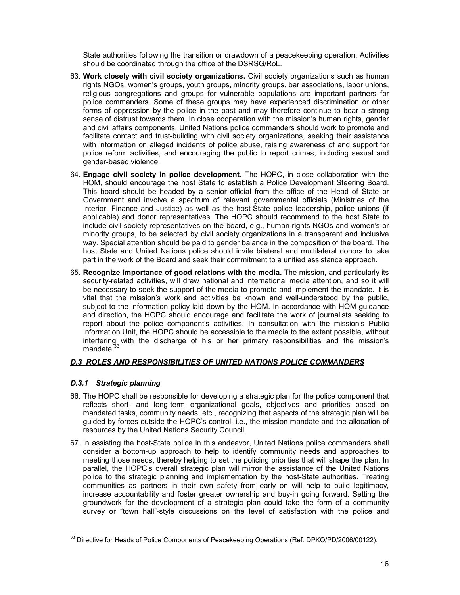State authorities following the transition or drawdown of a peacekeeping operation. Activities should be coordinated through the office of the DSRSG/RoL.

- 63. **Work closely with civil society organizations.** Civil society organizations such as human rights NGOs, women's groups, youth groups, minority groups, bar associations, labor unions, religious congregations and groups for vulnerable populations are important partners for police commanders. Some of these groups may have experienced discrimination or other forms of oppression by the police in the past and may therefore continue to bear a strong sense of distrust towards them. In close cooperation with the mission's human rights, gender and civil affairs components, United Nations police commanders should work to promote and facilitate contact and trust-building with civil society organizations, seeking their assistance with information on alleged incidents of police abuse, raising awareness of and support for police reform activities, and encouraging the public to report crimes, including sexual and gender-based violence.
- 64. **Engage civil society in police development.** The HOPC, in close collaboration with the HOM, should encourage the host State to establish a Police Development Steering Board. This board should be headed by a senior official from the office of the Head of State or Government and involve a spectrum of relevant governmental officials (Ministries of the Interior, Finance and Justice) as well as the host-State police leadership, police unions (if applicable) and donor representatives. The HOPC should recommend to the host State to include civil society representatives on the board, e.g., human rights NGOs and women's or minority groups, to be selected by civil society organizations in a transparent and inclusive way. Special attention should be paid to gender balance in the composition of the board. The host State and United Nations police should invite bilateral and multilateral donors to take part in the work of the Board and seek their commitment to a unified assistance approach.
- 65. **Recognize importance of good relations with the media.** The mission, and particularly its security-related activities, will draw national and international media attention, and so it will be necessary to seek the support of the media to promote and implement the mandate. It is vital that the mission's work and activities be known and well-understood by the public, subject to the information policy laid down by the HOM. In accordance with HOM guidance and direction, the HOPC should encourage and facilitate the work of journalists seeking to report about the police component's activities. In consultation with the mission's Public Information Unit, the HOPC should be accessible to the media to the extent possible, without interfering with the discharge of his or her primary responsibilities and the mission's mandate

# *D.3 ROLES AND RESPONSIBILITIES OF UNITED NATIONS POLICE COMMANDERS*

# *D.3.1 Strategic planning*

- 66. The HOPC shall be responsible for developing a strategic plan for the police component that reflects short- and long-term organizational goals, objectives and priorities based on mandated tasks, community needs, etc., recognizing that aspects of the strategic plan will be guided by forces outside the HOPC's control, i.e., the mission mandate and the allocation of resources by the United Nations Security Council.
- 67. In assisting the host-State police in this endeavor, United Nations police commanders shall consider a bottom-up approach to help to identify community needs and approaches to meeting those needs, thereby helping to set the policing priorities that will shape the plan. In parallel, the HOPC's overall strategic plan will mirror the assistance of the United Nations police to the strategic planning and implementation by the host-State authorities. Treating communities as partners in their own safety from early on will help to build legitimacy, increase accountability and foster greater ownership and buy-in going forward. Setting the groundwork for the development of a strategic plan could take the form of a community survey or "town hall"-style discussions on the level of satisfaction with the police and

l, <sup>33</sup> Directive for Heads of Police Components of Peacekeeping Operations (Ref. DPKO/PD/2006/00122).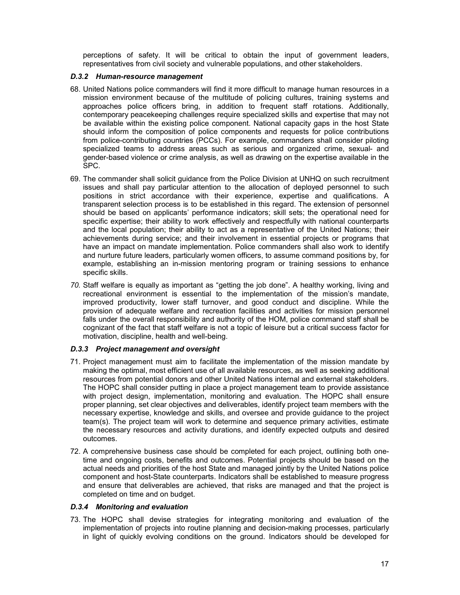perceptions of safety. It will be critical to obtain the input of government leaders, representatives from civil society and vulnerable populations, and other stakeholders.

#### *D.3.2 Human-resource management*

- 68. United Nations police commanders will find it more difficult to manage human resources in a mission environment because of the multitude of policing cultures, training systems and approaches police officers bring, in addition to frequent staff rotations. Additionally, contemporary peacekeeping challenges require specialized skills and expertise that may not be available within the existing police component. National capacity gaps in the host State should inform the composition of police components and requests for police contributions from police-contributing countries (PCCs). For example, commanders shall consider piloting specialized teams to address areas such as serious and organized crime, sexual- and gender-based violence or crime analysis, as well as drawing on the expertise available in the SPC.
- 69. The commander shall solicit guidance from the Police Division at UNHQ on such recruitment issues and shall pay particular attention to the allocation of deployed personnel to such positions in strict accordance with their experience, expertise and qualifications. A transparent selection process is to be established in this regard. The extension of personnel should be based on applicants' performance indicators; skill sets; the operational need for specific expertise; their ability to work effectively and respectfully with national counterparts and the local population; their ability to act as a representative of the United Nations; their achievements during service; and their involvement in essential projects or programs that have an impact on mandate implementation. Police commanders shall also work to identify and nurture future leaders, particularly women officers, to assume command positions by, for example, establishing an in-mission mentoring program or training sessions to enhance specific skills.
- *70.* Staff welfare is equally as important as "getting the job done". A healthy working, living and recreational environment is essential to the implementation of the mission's mandate, improved productivity, lower staff turnover, and good conduct and discipline. While the provision of adequate welfare and recreation facilities and activities for mission personnel falls under the overall responsibility and authority of the HOM, police command staff shall be cognizant of the fact that staff welfare is not a topic of leisure but a critical success factor for motivation, discipline, health and well-being.

# *D.3.3 Project management and oversight*

- 71. Project management must aim to facilitate the implementation of the mission mandate by making the optimal, most efficient use of all available resources, as well as seeking additional resources from potential donors and other United Nations internal and external stakeholders. The HOPC shall consider putting in place a project management team to provide assistance with project design, implementation, monitoring and evaluation. The HOPC shall ensure proper planning, set clear objectives and deliverables, identify project team members with the necessary expertise, knowledge and skills, and oversee and provide guidance to the project team(s). The project team will work to determine and sequence primary activities, estimate the necessary resources and activity durations, and identify expected outputs and desired outcomes.
- 72. A comprehensive business case should be completed for each project, outlining both onetime and ongoing costs, benefits and outcomes. Potential projects should be based on the actual needs and priorities of the host State and managed jointly by the United Nations police component and host-State counterparts. Indicators shall be established to measure progress and ensure that deliverables are achieved, that risks are managed and that the project is completed on time and on budget.

#### *D.3.4 Monitoring and evaluation*

73. The HOPC shall devise strategies for integrating monitoring and evaluation of the implementation of projects into routine planning and decision-making processes, particularly in light of quickly evolving conditions on the ground. Indicators should be developed for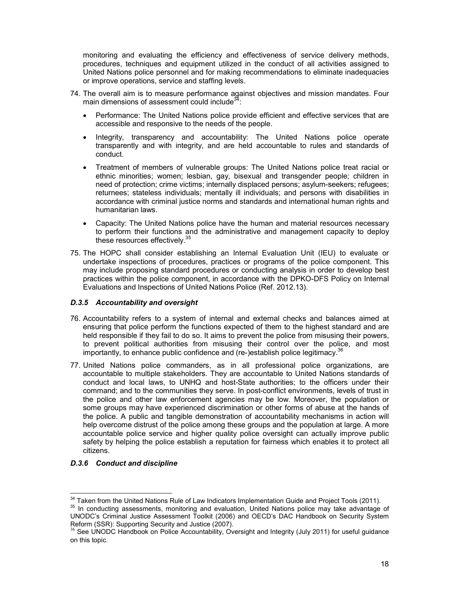monitoring and evaluating the efficiency and effectiveness of service delivery methods, procedures, techniques and equipment utilized in the conduct of all activities assigned to United Nations police personnel and for making recommendations to eliminate inadequacies or improve operations, service and staffing levels.

- 74. The overall aim is to measure performance against objectives and mission mandates. Four main dimensions of assessment could include $34$ :
	- Performance: The United Nations police provide efficient and effective services that are accessible and responsive to the needs of the people.
	- Integrity, transparency and accountability: The United Nations police operate transparently and with integrity, and are held accountable to rules and standards of conduct.
	- Treatment of members of vulnerable groups: The United Nations police treat racial or ethnic minorities; women; lesbian, gay, bisexual and transgender people; children in need of protection; crime victims; internally displaced persons; asylum-seekers; refugees; returnees; stateless individuals; mentally ill individuals; and persons with disabilities in accordance with criminal justice norms and standards and international human rights and humanitarian laws.
	- Capacity: The United Nations police have the human and material resources necessary to perform their functions and the administrative and management capacity to deploy these resources effectively.<sup>35</sup>
- 75. The HOPC shall consider establishing an Internal Evaluation Unit (IEU) to evaluate or undertake inspections of procedures, practices or programs of the police component. This may include proposing standard procedures or conducting analysis in order to develop best practices within the police component, in accordance with the DPKO-DFS Policy on Internal Evaluations and Inspections of United Nations Police (Ref. 2012.13).

# *D.3.5 Accountability and oversight*

- 76. Accountability refers to a system of internal and external checks and balances aimed at ensuring that police perform the functions expected of them to the highest standard and are held responsible if they fail to do so. It aims to prevent the police from misusing their powers, to prevent political authorities from misusing their control over the police, and most importantly, to enhance public confidence and (re-)establish police legitimacy. $36$
- 77. United Nations police commanders, as in all professional police organizations, are accountable to multiple stakeholders. They are accountable to United Nations standards of conduct and local laws, to UNHQ and host-State authorities; to the officers under their command; and to the communities they serve. In post-conflict environments, levels of trust in the police and other law enforcement agencies may be low. Moreover, the population or some groups may have experienced discrimination or other forms of abuse at the hands of the police. A public and tangible demonstration of accountability mechanisms in action will help overcome distrust of the police among these groups and the population at large. A more accountable police service and higher quality police oversight can actually improve public safety by helping the police establish a reputation for fairness which enables it to protect all citizens.

# *D.3.6 Conduct and discipline*

 $\overline{a}$ 

<sup>&</sup>lt;sup>34</sup> Taken from the United Nations Rule of Law Indicators Implementation Guide and Project Tools (2011).

<sup>&</sup>lt;sup>35</sup> In conducting assessments, monitoring and evaluation, United Nations police may take advantage of UNODC's Criminal Justice Assessment Toolkit (2006) and OECD's DAC Handbook on Security System Reform (SSR): Supporting Security and Justice (2007).

<sup>&</sup>lt;sup>36</sup> See UNODC Handbook on Police Accountability, Oversight and Integrity (July 2011) for useful guidance on this topic.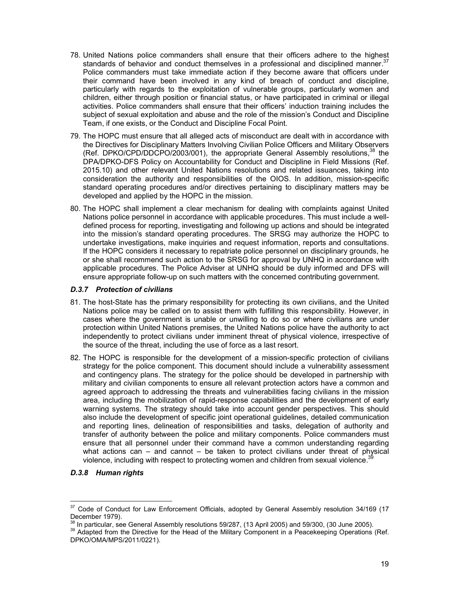- 78. United Nations police commanders shall ensure that their officers adhere to the highest standards of behavior and conduct themselves in a professional and disciplined manner. $37$ Police commanders must take immediate action if they become aware that officers under their command have been involved in any kind of breach of conduct and discipline, particularly with regards to the exploitation of vulnerable groups, particularly women and children, either through position or financial status, or have participated in criminal or illegal activities. Police commanders shall ensure that their officers' induction training includes the subject of sexual exploitation and abuse and the role of the mission's Conduct and Discipline Team, if one exists, or the Conduct and Discipline Focal Point.
- 79. The HOPC must ensure that all alleged acts of misconduct are dealt with in accordance with the Directives for Disciplinary Matters Involving Civilian Police Officers and Military Observers (Ref. DPKO/CPD/DDCPO/2003/001), the appropriate General Assembly resolutions,<sup>38</sup> the DPA/DPKO-DFS Policy on Accountability for Conduct and Discipline in Field Missions (Ref. 2015.10) and other relevant United Nations resolutions and related issuances, taking into consideration the authority and responsibilities of the OIOS. In addition, mission-specific standard operating procedures and/or directives pertaining to disciplinary matters may be developed and applied by the HOPC in the mission.
- 80. The HOPC shall implement a clear mechanism for dealing with complaints against United Nations police personnel in accordance with applicable procedures. This must include a welldefined process for reporting, investigating and following up actions and should be integrated into the mission's standard operating procedures. The SRSG may authorize the HOPC to undertake investigations, make inquiries and request information, reports and consultations. If the HOPC considers it necessary to repatriate police personnel on disciplinary grounds, he or she shall recommend such action to the SRSG for approval by UNHQ in accordance with applicable procedures. The Police Adviser at UNHQ should be duly informed and DFS will ensure appropriate follow-up on such matters with the concerned contributing government.

## *D.3.7 Protection of civilians*

- 81. The host-State has the primary responsibility for protecting its own civilians, and the United Nations police may be called on to assist them with fulfilling this responsibility. However, in cases where the government is unable or unwilling to do so or where civilians are under protection within United Nations premises, the United Nations police have the authority to act independently to protect civilians under imminent threat of physical violence, irrespective of the source of the threat, including the use of force as a last resort.
- 82. The HOPC is responsible for the development of a mission-specific protection of civilians strategy for the police component. This document should include a vulnerability assessment and contingency plans. The strategy for the police should be developed in partnership with military and civilian components to ensure all relevant protection actors have a common and agreed approach to addressing the threats and vulnerabilities facing civilians in the mission area, including the mobilization of rapid-response capabilities and the development of early warning systems. The strategy should take into account gender perspectives. This should also include the development of specific joint operational guidelines, detailed communication and reporting lines, delineation of responsibilities and tasks, delegation of authority and transfer of authority between the police and military components. Police commanders must ensure that all personnel under their command have a common understanding regarding what actions can  $-$  and cannot  $-$  be taken to protect civilians under threat of physical violence, including with respect to protecting women and children from sexual violence.<sup>31</sup>

# *D.3.8 Human rights*

<sup>37</sup> Code of Conduct for Law Enforcement Officials, adopted by General Assembly resolution 34/169 (17 December 1979).

 $8$  In particular, see General Assembly resolutions 59/287, (13 April 2005) and 59/300, (30 June 2005).

<sup>&</sup>lt;sup>39</sup> Adapted from the Directive for the Head of the Military Component in a Peacekeeping Operations (Ref. DPKO/OMA/MPS/2011/0221).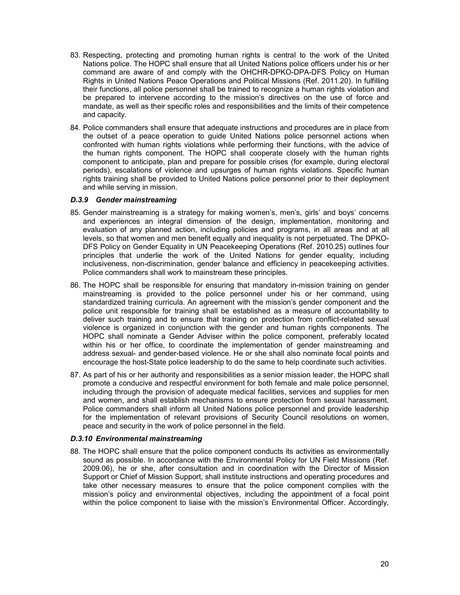- 83. Respecting, protecting and promoting human rights is central to the work of the United Nations police. The HOPC shall ensure that all United Nations police officers under his or her command are aware of and comply with the OHCHR-DPKO-DPA-DFS Policy on Human Rights in United Nations Peace Operations and Political Missions (Ref. 2011.20). In fulfilling their functions, all police personnel shall be trained to recognize a human rights violation and be prepared to intervene according to the mission's directives on the use of force and mandate, as well as their specific roles and responsibilities and the limits of their competence and capacity.
- 84. Police commanders shall ensure that adequate instructions and procedures are in place from the outset of a peace operation to guide United Nations police personnel actions when confronted with human rights violations while performing their functions, with the advice of the human rights component. The HOPC shall cooperate closely with the human rights component to anticipate, plan and prepare for possible crises (for example, during electoral periods), escalations of violence and upsurges of human rights violations. Specific human rights training shall be provided to United Nations police personnel prior to their deployment and while serving in mission.

#### *D.3.9 Gender mainstreaming*

- 85. Gender mainstreaming is a strategy for making women's, men's, girls' and boys' concerns and experiences an integral dimension of the design, implementation, monitoring and evaluation of any planned action, including policies and programs, in all areas and at all levels, so that women and men benefit equally and inequality is not perpetuated. The DPKO-DFS Policy on Gender Equality in UN Peacekeeping Operations (Ref. 2010.25) outlines four principles that underlie the work of the United Nations for gender equality, including inclusiveness, non-discrimination, gender balance and efficiency in peacekeeping activities. Police commanders shall work to mainstream these principles.
- 86. The HOPC shall be responsible for ensuring that mandatory in-mission training on gender mainstreaming is provided to the police personnel under his or her command, using standardized training curricula. An agreement with the mission's gender component and the police unit responsible for training shall be established as a measure of accountability to deliver such training and to ensure that training on protection from conflict-related sexual violence is organized in conjunction with the gender and human rights components. The HOPC shall nominate a Gender Adviser within the police component, preferably located within his or her office, to coordinate the implementation of gender mainstreaming and address sexual- and gender-based violence. He or she shall also nominate focal points and encourage the host-State police leadership to do the same to help coordinate such activities.
- 87. As part of his or her authority and responsibilities as a senior mission leader, the HOPC shall promote a conducive and respectful environment for both female and male police personnel, including through the provision of adequate medical facilities, services and supplies for men and women, and shall establish mechanisms to ensure protection from sexual harassment. Police commanders shall inform all United Nations police personnel and provide leadership for the implementation of relevant provisions of Security Council resolutions on women, peace and security in the work of police personnel in the field.

# *D.3.10 Environmental mainstreaming*

88. The HOPC shall ensure that the police component conducts its activities as environmentally sound as possible. In accordance with the Environmental Policy for UN Field Missions (Ref. 2009.06), he or she, after consultation and in coordination with the Director of Mission Support or Chief of Mission Support, shall institute instructions and operating procedures and take other necessary measures to ensure that the police component complies with the mission's policy and environmental objectives, including the appointment of a focal point within the police component to liaise with the mission's Environmental Officer. Accordingly,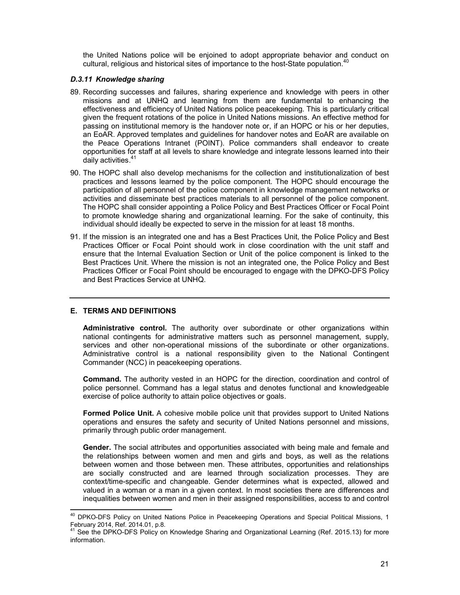the United Nations police will be enjoined to adopt appropriate behavior and conduct on cultural, religious and historical sites of importance to the host-State population.<sup>40</sup>

## *D.3.11 Knowledge sharing*

- 89. Recording successes and failures, sharing experience and knowledge with peers in other missions and at UNHQ and learning from them are fundamental to enhancing the effectiveness and efficiency of United Nations police peacekeeping. This is particularly critical given the frequent rotations of the police in United Nations missions. An effective method for passing on institutional memory is the handover note or, if an HOPC or his or her deputies, an EoAR. Approved templates and guidelines for handover notes and EoAR are available on the Peace Operations Intranet (POINT). Police commanders shall endeavor to create opportunities for staff at all levels to share knowledge and integrate lessons learned into their daily activities.<sup>41</sup>
- 90. The HOPC shall also develop mechanisms for the collection and institutionalization of best practices and lessons learned by the police component. The HOPC should encourage the participation of all personnel of the police component in knowledge management networks or activities and disseminate best practices materials to all personnel of the police component. The HOPC shall consider appointing a Police Policy and Best Practices Officer or Focal Point to promote knowledge sharing and organizational learning. For the sake of continuity, this individual should ideally be expected to serve in the mission for at least 18 months.
- 91. If the mission is an integrated one and has a Best Practices Unit, the Police Policy and Best Practices Officer or Focal Point should work in close coordination with the unit staff and ensure that the Internal Evaluation Section or Unit of the police component is linked to the Best Practices Unit. Where the mission is not an integrated one, the Police Policy and Best Practices Officer or Focal Point should be encouraged to engage with the DPKO-DFS Policy and Best Practices Service at UNHQ.

# **E. TERMS AND DEFINITIONS**

 $\overline{a}$ 

**Administrative control.** The authority over subordinate or other organizations within national contingents for administrative matters such as personnel management, supply, services and other non-operational missions of the subordinate or other organizations. Administrative control is a national responsibility given to the National Contingent Commander (NCC) in peacekeeping operations.

**Command.** The authority vested in an HOPC for the direction, coordination and control of police personnel. Command has a legal status and denotes functional and knowledgeable exercise of police authority to attain police objectives or goals.

**Formed Police Unit.** A cohesive mobile police unit that provides support to United Nations operations and ensures the safety and security of United Nations personnel and missions, primarily through public order management.

**Gender.** The social attributes and opportunities associated with being male and female and the relationships between women and men and girls and boys, as well as the relations between women and those between men. These attributes, opportunities and relationships are socially constructed and are learned through socialization processes. They are context/time-specific and changeable. Gender determines what is expected, allowed and valued in a woman or a man in a given context. In most societies there are differences and inequalities between women and men in their assigned responsibilities, access to and control

<sup>&</sup>lt;sup>40</sup> DPKO-DFS Policy on United Nations Police in Peacekeeping Operations and Special Political Missions, 1 February 2014, Ref. 2014.01, p.8.

See the DPKO-DFS Policy on Knowledge Sharing and Organizational Learning (Ref. 2015.13) for more information.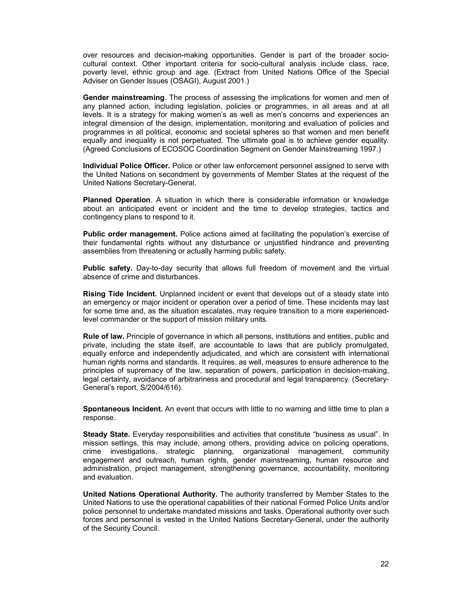over resources and decision-making opportunities. Gender is part of the broader sociocultural context. Other important criteria for socio-cultural analysis include class, race, poverty level, ethnic group and age. (Extract from United Nations Office of the Special Adviser on Gender Issues (OSAGI), August 2001.)

**Gender mainstreaming**. The process of assessing the implications for women and men of any planned action, including legislation, policies or programmes, in all areas and at all levels. It is a strategy for making women's as well as men's concerns and experiences an integral dimension of the design, implementation, monitoring and evaluation of policies and programmes in all political, economic and societal spheres so that women and men benefit equally and inequality is not perpetuated. The ultimate goal is to achieve gender equality. (Agreed Conclusions of ECOSOC Coordination Segment on Gender Mainstreaming 1997.)

**Individual Police Officer.** Police or other law enforcement personnel assigned to serve with the United Nations on secondment by governments of Member States at the request of the United Nations Secretary-General.

**Planned Operation**. A situation in which there is considerable information or knowledge about an anticipated event or incident and the time to develop strategies, tactics and contingency plans to respond to it.

**Public order management.** Police actions aimed at facilitating the population's exercise of their fundamental rights without any disturbance or unjustified hindrance and preventing assemblies from threatening or actually harming public safety.

**Public safety.** Day-to-day security that allows full freedom of movement and the virtual absence of crime and disturbances.

**Rising Tide Incident.** Unplanned incident or event that develops out of a steady state into an emergency or major incident or operation over a period of time. These incidents may last for some time and, as the situation escalates, may require transition to a more experiencedlevel commander or the support of mission military units.

**Rule of law.** Principle of governance in which all persons, institutions and entities, public and private, including the state itself, are accountable to laws that are publicly promulgated, equally enforce and independently adjudicated, and which are consistent with international human rights norms and standards. It requires, as well, measures to ensure adherence to the principles of supremacy of the law, separation of powers, participation in decision-making, legal certainty, avoidance of arbitrariness and procedural and legal transparency. (Secretary-General's report, S/2004/616).

**Spontaneous Incident.** An event that occurs with little to no warning and little time to plan a response.

**Steady State.** Everyday responsibilities and activities that constitute "business as usual". In mission settings, this may include, among others, providing advice on policing operations, crime investigations, strategic planning, organizational management, community engagement and outreach, human rights, gender mainstreaming, human resource and administration, project management, strengthening governance, accountability, monitoring and evaluation.

**United Nations Operational Authority.** The authority transferred by Member States to the United Nations to use the operational capabilities of their national Formed Police Units and/or police personnel to undertake mandated missions and tasks. Operational authority over such forces and personnel is vested in the United Nations Secretary-General, under the authority of the Security Council.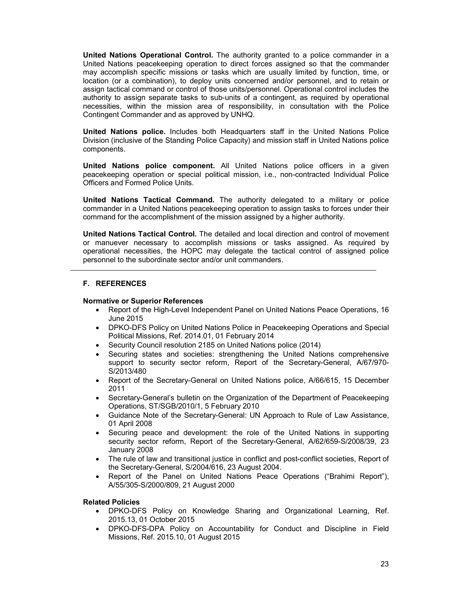**United Nations Operational Control.** The authority granted to a police commander in a United Nations peacekeeping operation to direct forces assigned so that the commander may accomplish specific missions or tasks which are usually limited by function, time, or location (or a combination), to deploy units concerned and/or personnel, and to retain or assign tactical command or control of those units/personnel. Operational control includes the authority to assign separate tasks to sub-units of a contingent, as required by operational necessities, within the mission area of responsibility, in consultation with the Police Contingent Commander and as approved by UNHQ.

**United Nations police.** Includes both Headquarters staff in the United Nations Police Division (inclusive of the Standing Police Capacity) and mission staff in United Nations police components.

**United Nations police component.** All United Nations police officers in a given peacekeeping operation or special political mission, i.e., non-contracted Individual Police Officers and Formed Police Units.

**United Nations Tactical Command.** The authority delegated to a military or police commander in a United Nations peacekeeping operation to assign tasks to forces under their command for the accomplishment of the mission assigned by a higher authority.

**United Nations Tactical Control.** The detailed and local direction and control of movement or manuever necessary to accomplish missions or tasks assigned. As required by operational necessities, the HOPC may delegate the tactical control of assigned police personnel to the subordinate sector and/or unit commanders.

## **F. REFERENCES**

#### **Normative or Superior References**

- Report of the High-Level Independent Panel on United Nations Peace Operations, 16 June 2015
- DPKO-DFS Policy on United Nations Police in Peacekeeping Operations and Special Political Missions, Ref. 2014.01, 01 February 2014
- Security Council resolution 2185 on United Nations police (2014)
- Securing states and societies: strengthening the United Nations comprehensive support to security sector reform, Report of the Secretary-General, A/67/970- S/2013/480
- Report of the Secretary-General on United Nations police, A/66/615, 15 December 2011
- Secretary-General's bulletin on the Organization of the Department of Peacekeeping Operations, ST/SGB/2010/1, 5 February 2010
- Guidance Note of the Secretary-General: UN Approach to Rule of Law Assistance, 01 April 2008
- Securing peace and development: the role of the United Nations in supporting security sector reform, Report of the Secretary-General, A/62/659-S/2008/39, 23 January 2008
- The rule of law and transitional justice in conflict and post-conflict societies, Report of the Secretary-General, S/2004/616, 23 August 2004.
- Report of the Panel on United Nations Peace Operations ("Brahimi Report"), A/55/305-S/2000/809, 21 August 2000

#### **Related Policies**

- DPKO-DFS Policy on Knowledge Sharing and Organizational Learning, Ref. 2015.13, 01 October 2015
- DPKO-DFS-DPA Policy on Accountability for Conduct and Discipline in Field Missions, Ref. 2015.10, 01 August 2015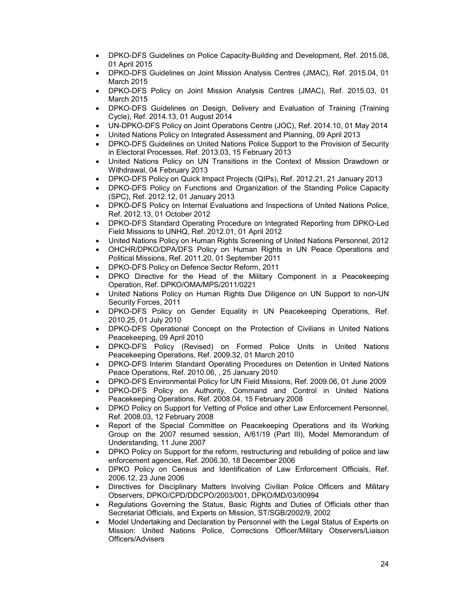- DPKO-DFS Guidelines on Police Capacity-Building and Development, Ref. 2015.08, 01 April 2015
- DPKO-DFS Guidelines on Joint Mission Analysis Centres (JMAC), Ref. 2015.04, 01 March 2015
- DPKO-DFS Policy on Joint Mission Analysis Centres (JMAC), Ref. 2015.03, 01 March 2015
- DPKO-DFS Guidelines on Design, Delivery and Evaluation of Training (Training Cycle), Ref. 2014.13, 01 August 2014
- UN-DPKO-DFS Policy on Joint Operations Centre (JOC), Ref. 2014.10, 01 May 2014
- United Nations Policy on Integrated Assessment and Planning, 09 April 2013
- DPKO-DFS Guidelines on United Nations Police Support to the Provision of Security in Electoral Processes, Ref. 2013.03, 15 February 2013
- United Nations Policy on UN Transitions in the Context of Mission Drawdown or Withdrawal, 04 February 2013
- DPKO-DFS Policy on Quick Impact Projects (QIPs), Ref. 2012.21, 21 January 2013
- DPKO-DFS Policy on Functions and Organization of the Standing Police Capacity (SPC), Ref. 2012.12, 01 January 2013
- DPKO-DFS Policy on Internal Evaluations and Inspections of United Nations Police, Ref. 2012.13, 01 October 2012
- DPKO-DFS Standard Operating Procedure on Integrated Reporting from DPKO-Led Field Missions to UNHQ, Ref. 2012.01, 01 April 2012
- United Nations Policy on Human Rights Screening of United Nations Personnel, 2012
- OHCHR/DPKO/DPA/DFS Policy on Human Rights in UN Peace Operations and Political Missions, Ref. 2011.20, 01 September 2011
- DPKO-DFS Policy on Defence Sector Reform, 2011
- DPKO Directive for the Head of the Military Component in a Peacekeeping Operation, Ref. DPKO/OMA/MPS/2011/0221
- United Nations Policy on Human Rights Due Diligence on UN Support to non-UN Security Forces, 2011
- DPKO-DFS Policy on Gender Equality in UN Peacekeeping Operations, Ref. 2010.25, 01 July 2010
- DPKO-DFS Operational Concept on the Protection of Civilians in United Nations Peacekeeping, 09 April 2010
- DPKO-DFS Policy (Revised) on Formed Police Units in United Nations Peacekeeping Operations, Ref. 2009.32, 01 March 2010
- DPKO-DFS Interim Standard Operating Procedures on Detention in United Nations Peace Operations, Ref. 2010.06, , 25 January 2010
- DPKO-DFS Environmental Policy for UN Field Missions, Ref. 2009.06, 01 June 2009
- DPKO-DFS Policy on Authority, Command and Control in United Nations Peacekeeping Operations, Ref. 2008.04, 15 February 2008
- DPKO Policy on Support for Vetting of Police and other Law Enforcement Personnel, Ref. 2008.03, 12 February 2008
- Report of the Special Committee on Peacekeeping Operations and its Working Group on the 2007 resumed session, A/61/19 (Part III), Model Memorandum of Understanding, 11 June 2007
- DPKO Policy on Support for the reform, restructuring and rebuilding of police and law enforcement agencies, Ref. 2006.30, 18 December 2006
- DPKO Policy on Census and Identification of Law Enforcement Officials, Ref. 2006.12, 23 June 2006
- Directives for Disciplinary Matters Involving Civilian Police Officers and Military Observers, DPKO/CPD/DDCPO/2003/001, DPKO/MD/03/00994
- Regulations Governing the Status, Basic Rights and Duties of Officials other than Secretariat Officials, and Experts on Mission, ST/SGB/2002/9, 2002
- Model Undertaking and Declaration by Personnel with the Legal Status of Experts on Mission: United Nations Police, Corrections Officer/Military Observers/Liaison Officers/Advisers